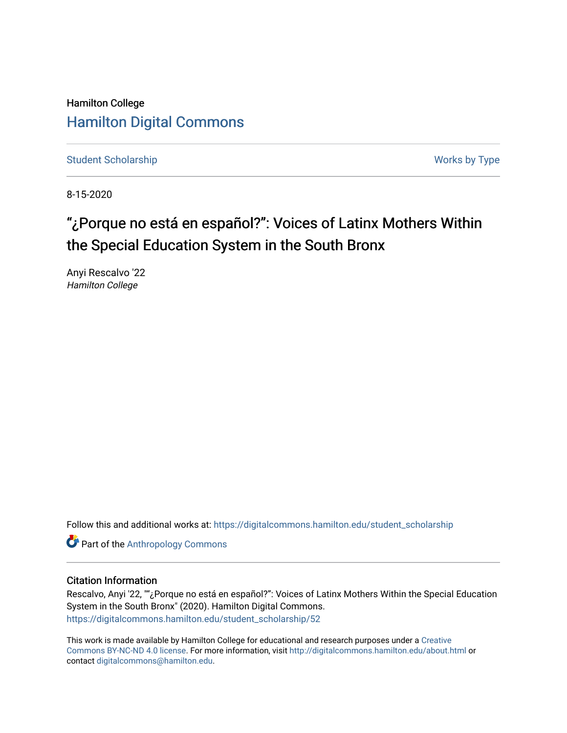Hamilton College [Hamilton Digital Commons](https://digitalcommons.hamilton.edu/) 

[Student Scholarship](https://digitalcommons.hamilton.edu/student_scholarship) Works by Type

8-15-2020

# "¿Porque no está en español?": Voices of Latinx Mothers Within the Special Education System in the South Bronx

Anyi Rescalvo '22 Hamilton College

Follow this and additional works at: [https://digitalcommons.hamilton.edu/student\\_scholarship](https://digitalcommons.hamilton.edu/student_scholarship?utm_source=digitalcommons.hamilton.edu%2Fstudent_scholarship%2F52&utm_medium=PDF&utm_campaign=PDFCoverPages) 

**Part of the [Anthropology Commons](http://network.bepress.com/hgg/discipline/318?utm_source=digitalcommons.hamilton.edu%2Fstudent_scholarship%2F52&utm_medium=PDF&utm_campaign=PDFCoverPages)** 

### Citation Information

Rescalvo, Anyi '22, ""¿Porque no está en español?": Voices of Latinx Mothers Within the Special Education System in the South Bronx" (2020). Hamilton Digital Commons. [https://digitalcommons.hamilton.edu/student\\_scholarship/52](https://digitalcommons.hamilton.edu/student_scholarship/52?utm_source=digitalcommons.hamilton.edu%2Fstudent_scholarship%2F52&utm_medium=PDF&utm_campaign=PDFCoverPages)

This work is made available by Hamilton College for educational and research purposes under a [Creative](https://creativecommons.org/licenses/by-nc-nd/4.0/)  [Commons BY-NC-ND 4.0 license.](https://creativecommons.org/licenses/by-nc-nd/4.0/) For more information, visit <http://digitalcommons.hamilton.edu/about.html> or contact [digitalcommons@hamilton.edu.](mailto:digitalcommons@hamilton.edu)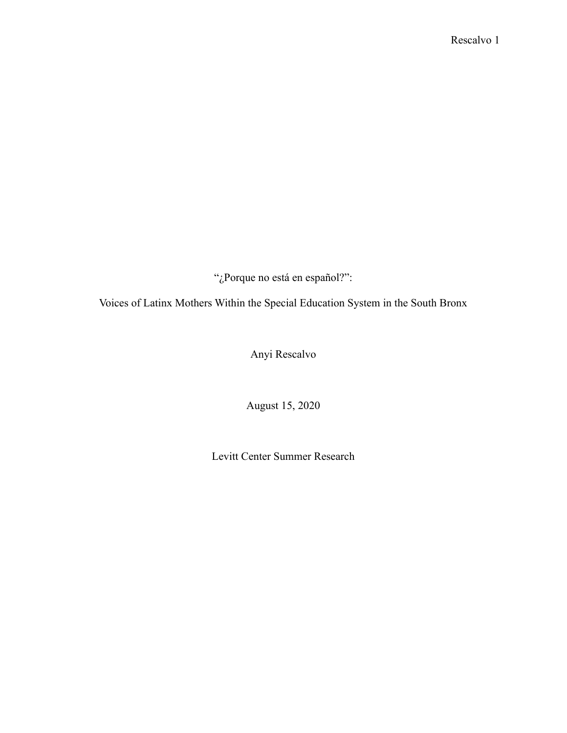"¿Porque no está en español?":

Voices of Latinx Mothers Within the Special Education System in the South Bronx

Anyi Rescalvo

August 15, 2020

Levitt Center Summer Research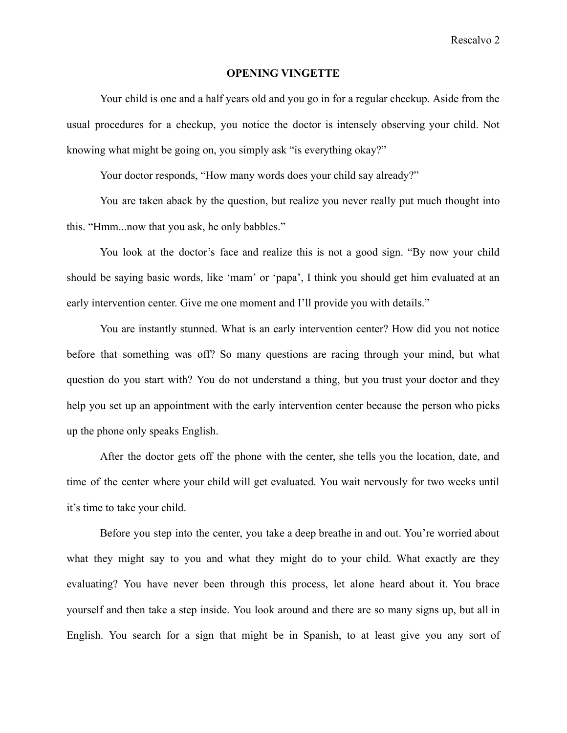#### **OPENING VINGETTE**

Your child is one and a half years old and you go in for a regular checkup. Aside from the usual procedures for a checkup, you notice the doctor is intensely observing your child. Not knowing what might be going on, you simply ask "is everything okay?"

Your doctor responds, "How many words does your child say already?"

You are taken aback by the question, but realize you never really put much thought into this. "Hmm...now that you ask, he only babbles."

You look at the doctor's face and realize this is not a good sign. "By now your child should be saying basic words, like 'mam' or 'papa', I think you should get him evaluated at an early intervention center. Give me one moment and I'll provide you with details."

You are instantly stunned. What is an early intervention center? How did you not notice before that something was off? So many questions are racing through your mind, but what question do you start with? You do not understand a thing, but you trust your doctor and they help you set up an appointment with the early intervention center because the person who picks up the phone only speaks English.

After the doctor gets off the phone with the center, she tells you the location, date, and time of the center where your child will get evaluated. You wait nervously for two weeks until it's time to take your child.

Before you step into the center, you take a deep breathe in and out. You're worried about what they might say to you and what they might do to your child. What exactly are they evaluating? You have never been through this process, let alone heard about it. You brace yourself and then take a step inside. You look around and there are so many signs up, but all in English. You search for a sign that might be in Spanish, to at least give you any sort of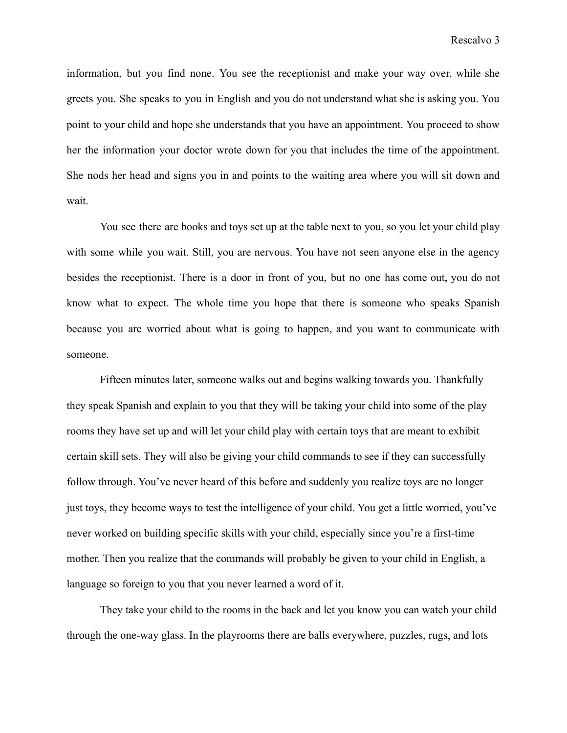information, but you find none. You see the receptionist and make your way over, while she greets you. She speaks to you in English and you do not understand what she is asking you. You point to your child and hope she understands that you have an appointment. You proceed to show her the information your doctor wrote down for you that includes the time of the appointment. She nods her head and signs you in and points to the waiting area where you will sit down and wait.

You see there are books and toys set up at the table next to you, so you let your child play with some while you wait. Still, you are nervous. You have not seen anyone else in the agency besides the receptionist. There is a door in front of you, but no one has come out, you do not know what to expect. The whole time you hope that there is someone who speaks Spanish because you are worried about what is going to happen, and you want to communicate with someone.

Fifteen minutes later, someone walks out and begins walking towards you. Thankfully they speak Spanish and explain to you that they will be taking your child into some of the play rooms they have set up and will let your child play with certain toys that are meant to exhibit certain skill sets. They will also be giving your child commands to see if they can successfully follow through. You've never heard of this before and suddenly you realize toys are no longer just toys, they become ways to test the intelligence of your child. You get a little worried, you've never worked on building specific skills with your child, especially since you're a first-time mother. Then you realize that the commands will probably be given to your child in English, a language so foreign to you that you never learned a word of it.

They take your child to the rooms in the back and let you know you can watch your child through the one-way glass. In the playrooms there are balls everywhere, puzzles, rugs, and lots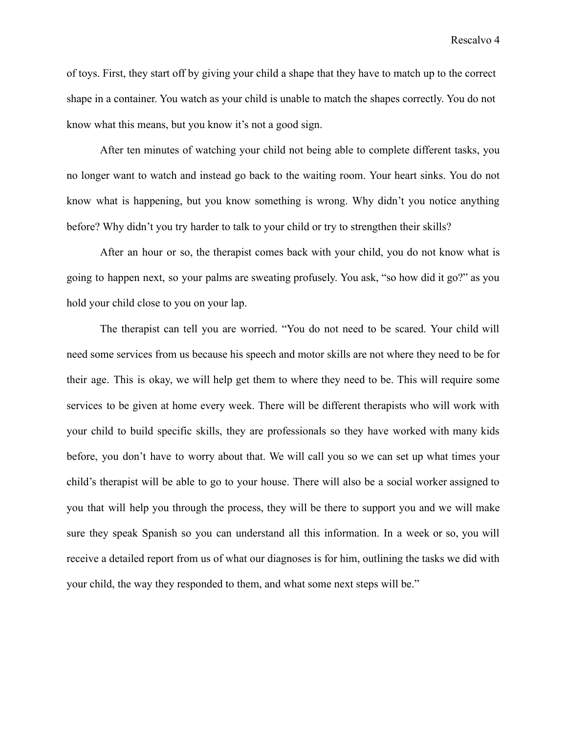Rescalvo 4

of toys. First, they start off by giving your child a shape that they have to match up to the correct shape in a container. You watch as your child is unable to match the shapes correctly. You do not know what this means, but you know it's not a good sign.

After ten minutes of watching your child not being able to complete different tasks, you no longer want to watch and instead go back to the waiting room. Your heart sinks. You do not know what is happening, but you know something is wrong. Why didn't you notice anything before? Why didn't you try harder to talk to your child or try to strengthen their skills?

After an hour or so, the therapist comes back with your child, you do not know what is going to happen next, so your palms are sweating profusely. You ask, "so how did it go?" as you hold your child close to you on your lap.

The therapist can tell you are worried. "You do not need to be scared. Your child will need some services from us because his speech and motor skills are not where they need to be for their age. This is okay, we will help get them to where they need to be. This will require some services to be given at home every week. There will be different therapists who will work with your child to build specific skills, they are professionals so they have worked with many kids before, you don't have to worry about that. We will call you so we can set up what times your child's therapist will be able to go to your house. There will also be a social worker assigned to you that will help you through the process, they will be there to support you and we will make sure they speak Spanish so you can understand all this information. In a week or so, you will receive a detailed report from us of what our diagnoses is for him, outlining the tasks we did with your child, the way they responded to them, and what some next steps will be."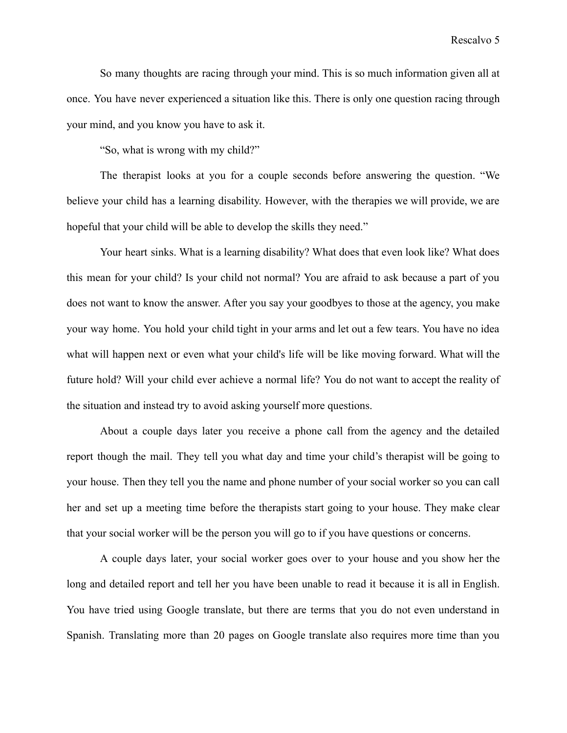Rescalvo 5

So many thoughts are racing through your mind. This is so much information given all at once. You have never experienced a situation like this. There is only one question racing through your mind, and you know you have to ask it.

"So, what is wrong with my child?"

The therapist looks at you for a couple seconds before answering the question. "We believe your child has a learning disability. However, with the therapies we will provide, we are hopeful that your child will be able to develop the skills they need."

Your heart sinks. What is a learning disability? What does that even look like? What does this mean for your child? Is your child not normal? You are afraid to ask because a part of you does not want to know the answer. After you say your goodbyes to those at the agency, you make your way home. You hold your child tight in your arms and let out a few tears. You have no idea what will happen next or even what your child's life will be like moving forward. What will the future hold? Will your child ever achieve a normal life? You do not want to accept the reality of the situation and instead try to avoid asking yourself more questions.

About a couple days later you receive a phone call from the agency and the detailed report though the mail. They tell you what day and time your child's therapist will be going to your house. Then they tell you the name and phone number of your social worker so you can call her and set up a meeting time before the therapists start going to your house. They make clear that your social worker will be the person you will go to if you have questions or concerns.

A couple days later, your social worker goes over to your house and you show her the long and detailed report and tell her you have been unable to read it because it is all in English. You have tried using Google translate, but there are terms that you do not even understand in Spanish. Translating more than 20 pages on Google translate also requires more time than you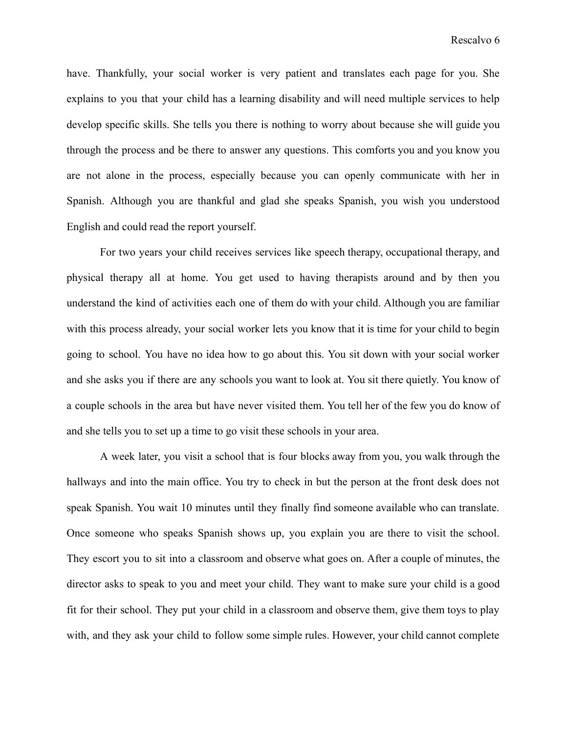have. Thankfully, your social worker is very patient and translates each page for you. She explains to you that your child has a learning disability and will need multiple services to help develop specific skills. She tells you there is nothing to worry about because she will guide you through the process and be there to answer any questions. This comforts you and you know you are not alone in the process, especially because you can openly communicate with her in Spanish. Although you are thankful and glad she speaks Spanish, you wish you understood English and could read the report yourself.

For two years your child receives services like speech therapy, occupational therapy, and physical therapy all at home. You get used to having therapists around and by then you understand the kind of activities each one of them do with your child. Although you are familiar with this process already, your social worker lets you know that it is time for your child to begin going to school. You have no idea how to go about this. You sit down with your social worker and she asks you if there are any schools you want to look at. You sit there quietly. You know of a couple schools in the area but have never visited them. You tell her of the few you do know of and she tells you to set up a time to go visit these schools in your area.

A week later, you visit a school that is four blocks away from you, you walk through the hallways and into the main office. You try to check in but the person at the front desk does not speak Spanish. You wait 10 minutes until they finally find someone available who can translate. Once someone who speaks Spanish shows up, you explain you are there to visit the school. They escort you to sit into a classroom and observe what goes on. After a couple of minutes, the director asks to speak to you and meet your child. They want to make sure your child is a good fit for their school. They put your child in a classroom and observe them, give them toys to play with, and they ask your child to follow some simple rules. However, your child cannot complete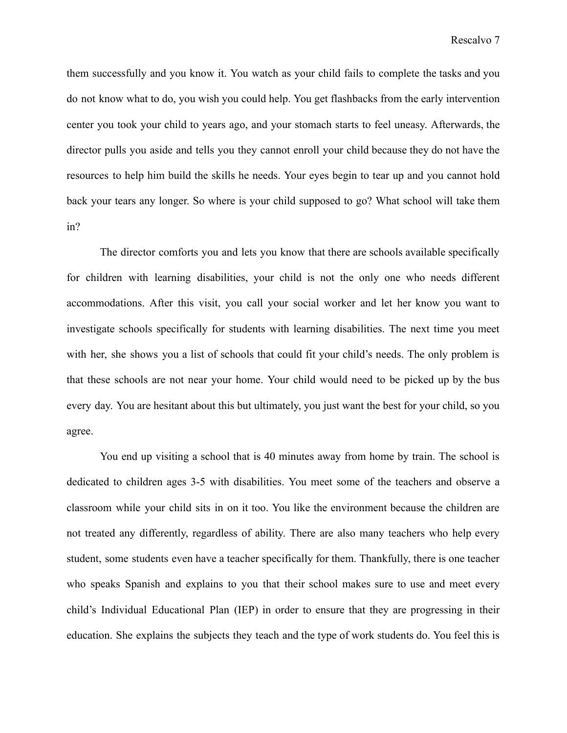them successfully and you know it. You watch as your child fails to complete the tasks and you do not know what to do, you wish you could help. You get flashbacks from the early intervention center you took your child to years ago, and your stomach starts to feel uneasy. Afterwards, the director pulls you aside and tells you they cannot enroll your child because they do not have the resources to help him build the skills he needs. Your eyes begin to tear up and you cannot hold back your tears any longer. So where is your child supposed to go? What school will take them in?

The director comforts you and lets you know that there are schools available specifically for children with learning disabilities, your child is not the only one who needs different accommodations. After this visit, you call your social worker and let her know you want to investigate schools specifically for students with learning disabilities. The next time you meet with her, she shows you a list of schools that could fit your child's needs. The only problem is that these schools are not near your home. Your child would need to be picked up by the bus every day. You are hesitant about this but ultimately, you just want the best for your child, so you agree.

You end up visiting a school that is 40 minutes away from home by train. The school is dedicated to children ages 3-5 with disabilities. You meet some of the teachers and observe a classroom while your child sits in on it too. You like the environment because the children are not treated any differently, regardless of ability. There are also many teachers who help every student, some students even have a teacher specifically for them. Thankfully, there is one teacher who speaks Spanish and explains to you that their school makes sure to use and meet every child's Individual Educational Plan (IEP) in order to ensure that they are progressing in their education. She explains the subjects they teach and the type of work students do. You feel this is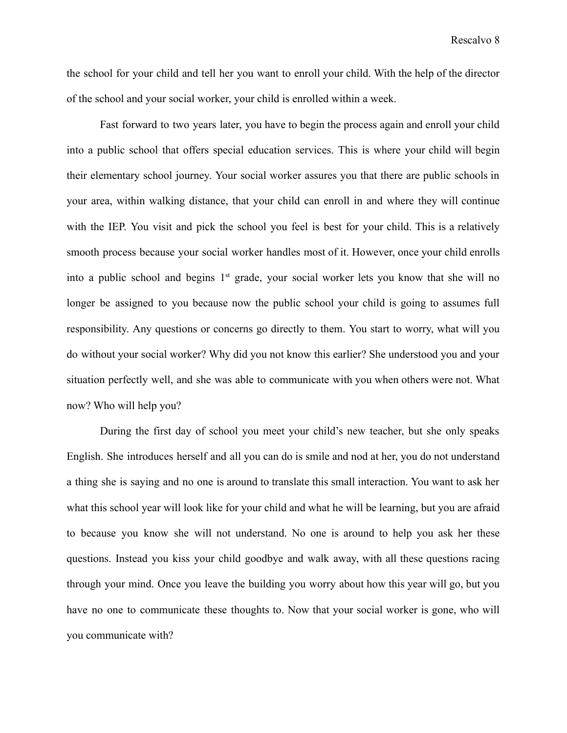the school for your child and tell her you want to enroll your child. With the help of the director of the school and your social worker, your child is enrolled within a week.

Fast forward to two years later, you have to begin the process again and enroll your child into a public school that offers special education services. This is where your child will begin their elementary school journey. Your social worker assures you that there are public schools in your area, within walking distance, that your child can enroll in and where they will continue with the IEP. You visit and pick the school you feel is best for your child. This is a relatively smooth process because your social worker handles most of it. However, once your child enrolls into a public school and begins  $1<sup>st</sup>$  grade, your social worker lets you know that she will no longer be assigned to you because now the public school your child is going to assumes full responsibility. Any questions or concerns go directly to them. You start to worry, what will you do without your social worker? Why did you not know this earlier? She understood you and your situation perfectly well, and she was able to communicate with you when others were not. What now? Who will help you?

During the first day of school you meet your child's new teacher, but she only speaks English. She introduces herself and all you can do is smile and nod at her, you do not understand a thing she is saying and no one is around to translate this small interaction. You want to ask her what this school year will look like for your child and what he will be learning, but you are afraid to because you know she will not understand. No one is around to help you ask her these questions. Instead you kiss your child goodbye and walk away, with all these questions racing through your mind. Once you leave the building you worry about how this year will go, but you have no one to communicate these thoughts to. Now that your social worker is gone, who will you communicate with?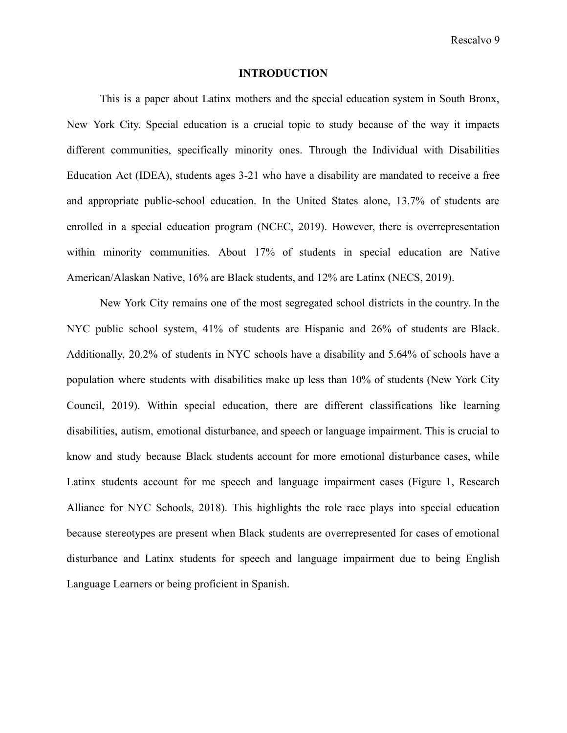Rescalvo 9

#### **INTRODUCTION**

This is a paper about Latinx mothers and the special education system in South Bronx, New York City. Special education is a crucial topic to study because of the way it impacts different communities, specifically minority ones. Through the Individual with Disabilities Education Act (IDEA), students ages 3-21 who have a disability are mandated to receive a free and appropriate public-school education. In the United States alone, 13.7% of students are enrolled in a special education program (NCEC, 2019). However, there is overrepresentation within minority communities. About 17% of students in special education are Native American/Alaskan Native, 16% are Black students, and 12% are Latinx (NECS, 2019).

New York City remains one of the most segregated school districts in the country. In the NYC public school system, 41% of students are Hispanic and 26% of students are Black. Additionally, 20.2% of students in NYC schools have a disability and 5.64% of schools have a population where students with disabilities make up less than 10% of students (New York City Council, 2019). Within special education, there are different classifications like learning disabilities, autism, emotional disturbance, and speech or language impairment. This is crucial to know and study because Black students account for more emotional disturbance cases, while Latinx students account for me speech and language impairment cases (Figure 1, Research Alliance for NYC Schools, 2018). This highlights the role race plays into special education because stereotypes are present when Black students are overrepresented for cases of emotional disturbance and Latinx students for speech and language impairment due to being English Language Learners or being proficient in Spanish.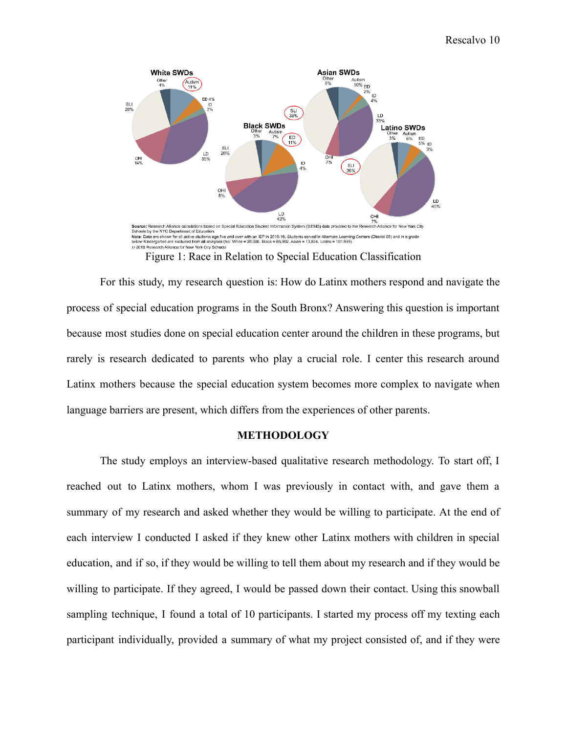

Figure 1: Race in Relation to Special Education Classification

For this study, my research question is: How do Latinx mothers respond and navigate the process of special education programs in the South Bronx? Answering this question is important because most studies done on special education center around the children in these programs, but rarely is research dedicated to parents who play a crucial role. I center this research around Latinx mothers because the special education system becomes more complex to navigate when language barriers are present, which differs from the experiences of other parents.

#### **METHODOLOGY**

The study employs an interview-based qualitative research methodology. To start off, I reached out to Latinx mothers, whom I was previously in contact with, and gave them a summary of my research and asked whether they would be willing to participate. At the end of each interview I conducted I asked if they knew other Latinx mothers with children in special education, and if so, if they would be willing to tell them about my research and if they would be willing to participate. If they agreed, I would be passed down their contact. Using this snowball sampling technique, I found a total of 10 participants. I started my process off my texting each participant individually, provided a summary of what my project consisted of, and if they were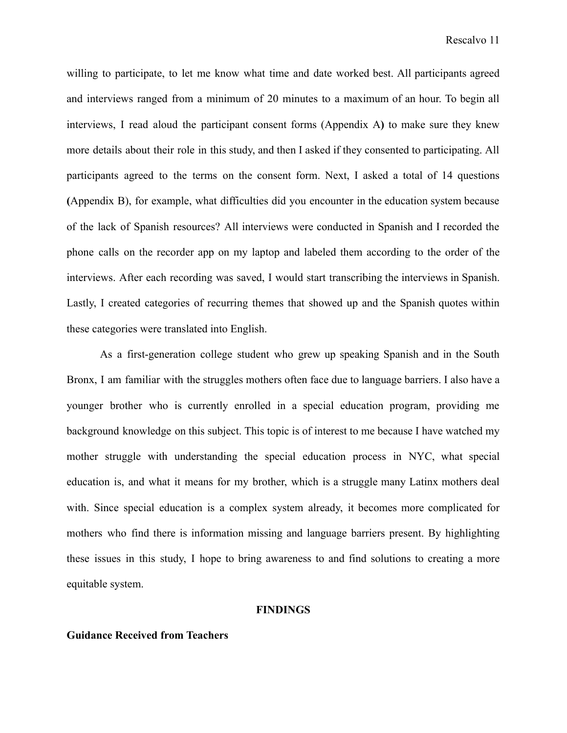willing to participate, to let me know what time and date worked best. All participants agreed and interviews ranged from a minimum of 20 minutes to a maximum of an hour. To begin all interviews, I read aloud the participant consent forms (Appendix A**)** to make sure they knew more details about their role in this study, and then I asked if they consented to participating. All participants agreed to the terms on the consent form. Next, I asked a total of 14 questions **(**Appendix B), for example, what difficulties did you encounter in the education system because of the lack of Spanish resources? All interviews were conducted in Spanish and I recorded the phone calls on the recorder app on my laptop and labeled them according to the order of the interviews. After each recording was saved, I would start transcribing the interviews in Spanish. Lastly, I created categories of recurring themes that showed up and the Spanish quotes within these categories were translated into English.

As a first-generation college student who grew up speaking Spanish and in the South Bronx, I am familiar with the struggles mothers often face due to language barriers. I also have a younger brother who is currently enrolled in a special education program, providing me background knowledge on this subject. This topic is of interest to me because I have watched my mother struggle with understanding the special education process in NYC, what special education is, and what it means for my brother, which is a struggle many Latinx mothers deal with. Since special education is a complex system already, it becomes more complicated for mothers who find there is information missing and language barriers present. By highlighting these issues in this study, I hope to bring awareness to and find solutions to creating a more equitable system.

#### **FINDINGS**

#### **Guidance Received from Teachers**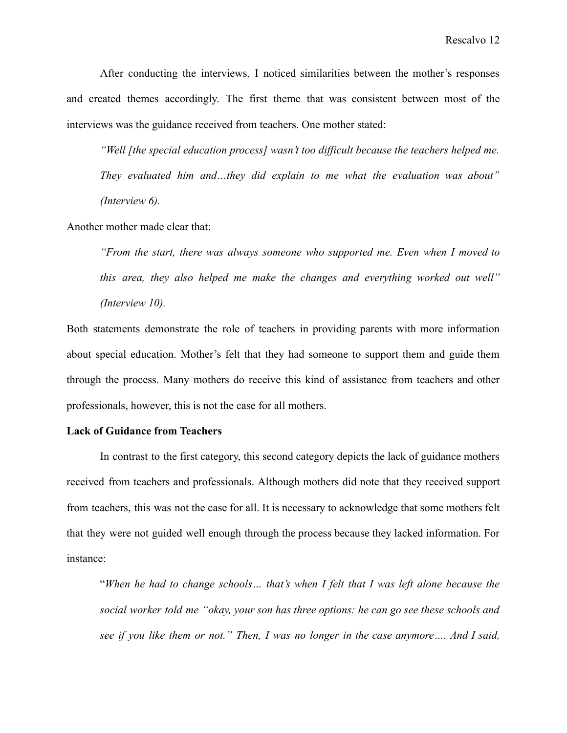After conducting the interviews, I noticed similarities between the mother's responses and created themes accordingly. The first theme that was consistent between most of the interviews was the guidance received from teachers. One mother stated:

*"Well [the special education process] wasn't too difficult because the teachers helped me. They evaluated him and…they did explain to me what the evaluation was about" (Interview 6).*

Another mother made clear that:

*"From the start, there was always someone who supported me. Even when I moved to this area, they also helped me make the changes and everything worked out well" (Interview 10).*

Both statements demonstrate the role of teachers in providing parents with more information about special education. Mother's felt that they had someone to support them and guide them through the process. Many mothers do receive this kind of assistance from teachers and other professionals, however, this is not the case for all mothers.

#### **Lack of Guidance from Teachers**

In contrast to the first category, this second category depicts the lack of guidance mothers received from teachers and professionals. Although mothers did note that they received support from teachers, this was not the case for all. It is necessary to acknowledge that some mothers felt that they were not guided well enough through the process because they lacked information. For instance:

"*When he had to change schools… that's when I felt that I was left alone because the social worker told me "okay, your son has three options: he can go see these schools and see if you like them or not." Then, I was no longer in the case anymore…. And I said,*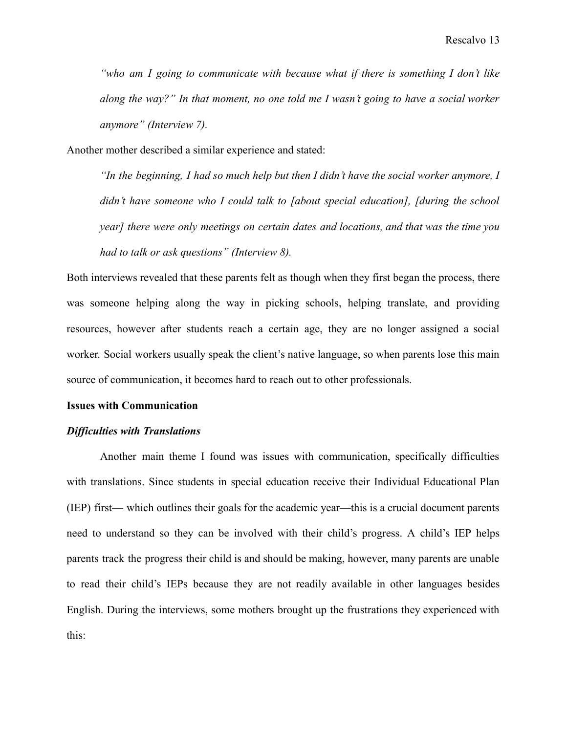*"who am I going to communicate with because what if there is something I don't like along the way?" In that moment, no one told me I wasn't going to have a social worker anymore" (Interview 7).*

Another mother described a similar experience and stated:

*"In the beginning, I had so much help but then I didn't have the social worker anymore, I didn't have someone who I could talk to [about special education], [during the school year] there were only meetings on certain dates and locations, and that was the time you had to talk or ask questions" (Interview 8).*

Both interviews revealed that these parents felt as though when they first began the process, there was someone helping along the way in picking schools, helping translate, and providing resources, however after students reach a certain age, they are no longer assigned a social worker. Social workers usually speak the client's native language, so when parents lose this main source of communication, it becomes hard to reach out to other professionals.

#### **Issues with Communication**

#### *Difficulties with Translations*

Another main theme I found was issues with communication, specifically difficulties with translations. Since students in special education receive their Individual Educational Plan (IEP) first— which outlines their goals for the academic year—this is a crucial document parents need to understand so they can be involved with their child's progress. A child's IEP helps parents track the progress their child is and should be making, however, many parents are unable to read their child's IEPs because they are not readily available in other languages besides English. During the interviews, some mothers brought up the frustrations they experienced with this: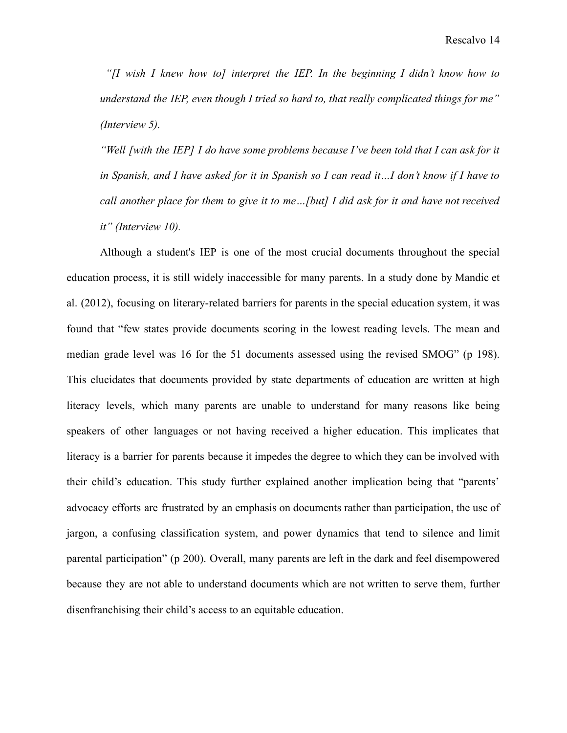*"[I wish I knew how to] interpret the IEP. In the beginning I didn't know how to understand the IEP, even though I tried so hard to, that really complicated things for me" (Interview 5).*

*"Well [with the IEP] I do have some problems because I've been told that I can ask for it* in Spanish, and I have asked for it in Spanish so I can read it...I don't know if I have to *call another place for them to give it to me…[but] I did ask for it and have not received it" (Interview 10).*

Although a student's IEP is one of the most crucial documents throughout the special education process, it is still widely inaccessible for many parents. In a study done by Mandic et al. (2012), focusing on literary-related barriers for parents in the special education system, it was found that "few states provide documents scoring in the lowest reading levels. The mean and median grade level was 16 for the 51 documents assessed using the revised SMOG" (p 198). This elucidates that documents provided by state departments of education are written at high literacy levels, which many parents are unable to understand for many reasons like being speakers of other languages or not having received a higher education. This implicates that literacy is a barrier for parents because it impedes the degree to which they can be involved with their child's education. This study further explained another implication being that "parents' advocacy efforts are frustrated by an emphasis on documents rather than participation, the use of jargon, a confusing classification system, and power dynamics that tend to silence and limit parental participation" (p 200). Overall, many parents are left in the dark and feel disempowered because they are not able to understand documents which are not written to serve them, further disenfranchising their child's access to an equitable education.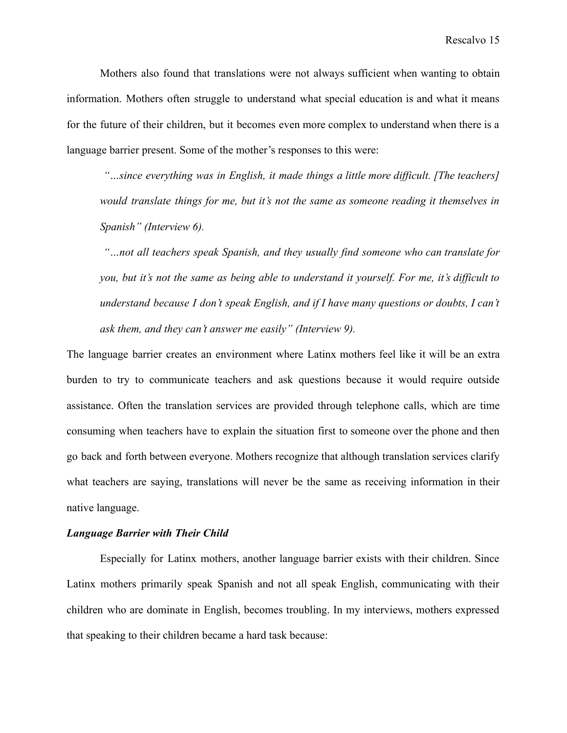Mothers also found that translations were not always sufficient when wanting to obtain information. Mothers often struggle to understand what special education is and what it means for the future of their children, but it becomes even more complex to understand when there is a language barrier present. Some of the mother's responses to this were:

*"…since everything was in English, it made things a little more difficult. [The teachers] would translate things for me, but it's not the same as someone reading it themselves in Spanish" (Interview 6).*

*"…not all teachers speak Spanish, and they usually find someone who can translate for you, but it's not the same as being able to understand it yourself. For me, it's difficult to understand because I don't speak English, and if I have many questions or doubts, I can't ask them, and they can't answer me easily" (Interview 9).*

The language barrier creates an environment where Latinx mothers feel like it will be an extra burden to try to communicate teachers and ask questions because it would require outside assistance. Often the translation services are provided through telephone calls, which are time consuming when teachers have to explain the situation first to someone over the phone and then go back and forth between everyone. Mothers recognize that although translation services clarify what teachers are saying, translations will never be the same as receiving information in their native language.

#### *Language Barrier with Their Child*

Especially for Latinx mothers, another language barrier exists with their children. Since Latinx mothers primarily speak Spanish and not all speak English, communicating with their children who are dominate in English, becomes troubling. In my interviews, mothers expressed that speaking to their children became a hard task because: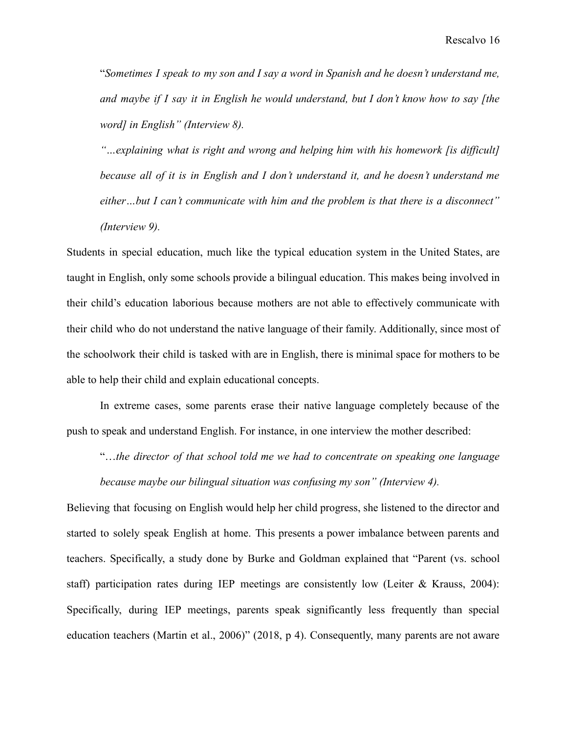"*Sometimes I speak to my son and I say a word in Spanish and he doesn't understand me, and maybe if I say it in English he would understand, but I don't know how to say [the word] in English" (Interview 8).*

*"…explaining what is right and wrong and helping him with his homework [is difficult] because all of it is in English and I don't understand it, and he doesn't understand me either…but I can't communicate with him and the problem is that there is a disconnect" (Interview 9).*

Students in special education, much like the typical education system in the United States, are taught in English, only some schools provide a bilingual education. This makes being involved in their child's education laborious because mothers are not able to effectively communicate with their child who do not understand the native language of their family. Additionally, since most of the schoolwork their child is tasked with are in English, there is minimal space for mothers to be able to help their child and explain educational concepts.

In extreme cases, some parents erase their native language completely because of the push to speak and understand English. For instance, in one interview the mother described:

"…*the director of that school told me we had to concentrate on speaking one language because maybe our bilingual situation was confusing my son" (Interview 4).*

Believing that focusing on English would help her child progress, she listened to the director and started to solely speak English at home. This presents a power imbalance between parents and teachers. Specifically, a study done by Burke and Goldman explained that "Parent (vs. school staff) participation rates during IEP meetings are consistently low (Leiter  $\&$  Krauss, 2004): Specifically, during IEP meetings, parents speak significantly less frequently than special education teachers (Martin et al., 2006)" (2018, p 4). Consequently, many parents are not aware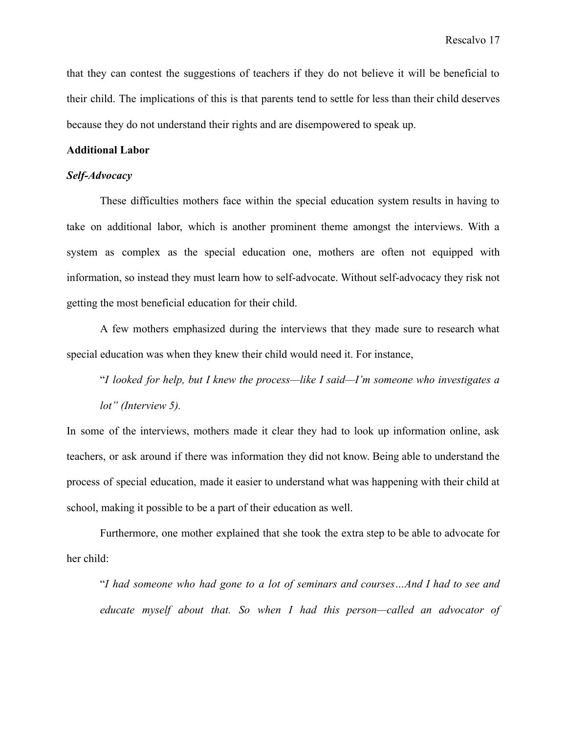that they can contest the suggestions of teachers if they do not believe it will be beneficial to their child. The implications of this is that parents tend to settle for less than their child deserves because they do not understand their rights and are disempowered to speak up.

#### **Additional Labor**

## *Self-Advocacy*

These difficulties mothers face within the special education system results in having to take on additional labor, which is another prominent theme amongst the interviews. With a system as complex as the special education one, mothers are often not equipped with information, so instead they must learn how to self-advocate. Without self-advocacy they risk not getting the most beneficial education for their child.

A few mothers emphasized during the interviews that they made sure to research what special education was when they knew their child would need it. For instance,

"*I looked for help, but I knew the process—like I said—I'm someone who investigates a lot" (Interview 5).*

In some of the interviews, mothers made it clear they had to look up information online, ask teachers, or ask around if there was information they did not know. Being able to understand the process of special education, made it easier to understand what was happening with their child at school, making it possible to be a part of their education as well.

Furthermore, one mother explained that she took the extra step to be able to advocate for her child:

"*I had someone who had gone to a lot of seminars and courses…And I had to see and educate myself about that. So when I had this person—called an advocator of*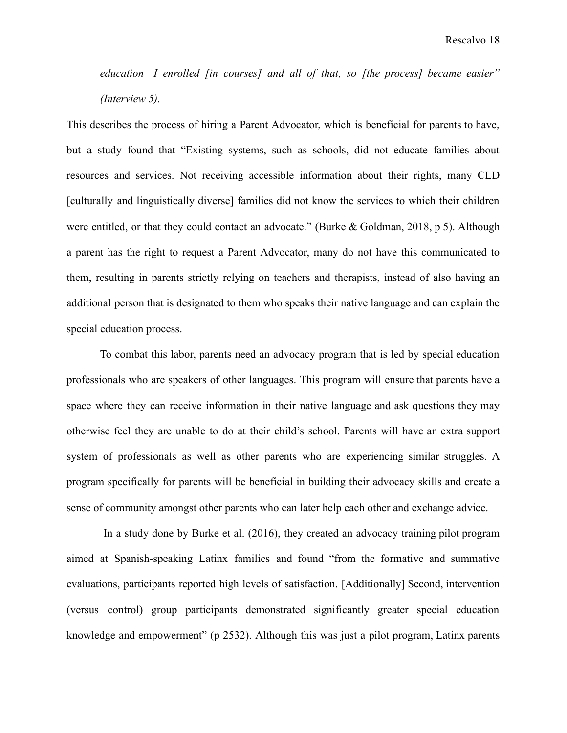*education—I enrolled [in courses] and all of that, so [the process] became easier" (Interview 5).*

This describes the process of hiring a Parent Advocator, which is beneficial for parents to have, but a study found that "Existing systems, such as schools, did not educate families about resources and services. Not receiving accessible information about their rights, many CLD [culturally and linguistically diverse] families did not know the services to which their children were entitled, or that they could contact an advocate." (Burke & Goldman, 2018, p 5). Although a parent has the right to request a Parent Advocator, many do not have this communicated to them, resulting in parents strictly relying on teachers and therapists, instead of also having an additional person that is designated to them who speaks their native language and can explain the special education process.

To combat this labor, parents need an advocacy program that is led by special education professionals who are speakers of other languages. This program will ensure that parents have a space where they can receive information in their native language and ask questions they may otherwise feel they are unable to do at their child's school. Parents will have an extra support system of professionals as well as other parents who are experiencing similar struggles. A program specifically for parents will be beneficial in building their advocacy skills and create a sense of community amongst other parents who can later help each other and exchange advice.

In a study done by Burke et al. (2016), they created an advocacy training pilot program aimed at Spanish-speaking Latinx families and found "from the formative and summative evaluations, participants reported high levels of satisfaction. [Additionally] Second, intervention (versus control) group participants demonstrated significantly greater special education knowledge and empowerment" (p 2532). Although this was just a pilot program, Latinx parents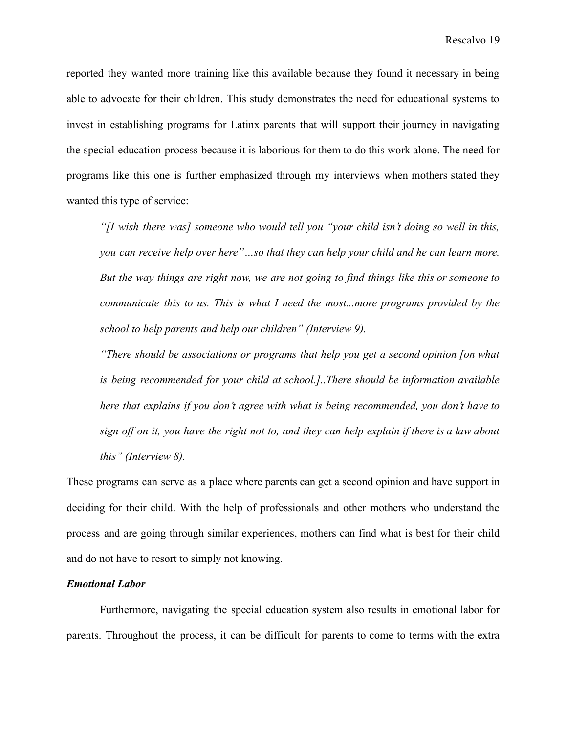reported they wanted more training like this available because they found it necessary in being able to advocate for their children. This study demonstrates the need for educational systems to invest in establishing programs for Latinx parents that will support their journey in navigating the special education process because it is laborious for them to do this work alone. The need for programs like this one is further emphasized through my interviews when mothers stated they wanted this type of service:

*"[I wish there was] someone who would tell you "your child isn't doing so well in this, you can receive help over here"…so that they can help your child and he can learn more. But the way things are right now, we are not going to find things like this or someone to communicate this to us. This is what I need the most...more programs provided by the school to help parents and help our children" (Interview 9).*

*"There should be associations or programs that help you get a second opinion [on what is being recommended for your child at school.]..There should be information available here that explains if you don't agree with what is being recommended, you don't have to* sign off on it, you have the right not to, and they can help explain if there is a law about *this" (Interview 8).*

These programs can serve as a place where parents can get a second opinion and have support in deciding for their child. With the help of professionals and other mothers who understand the process and are going through similar experiences, mothers can find what is best for their child and do not have to resort to simply not knowing.

## *Emotional Labor*

Furthermore, navigating the special education system also results in emotional labor for parents. Throughout the process, it can be difficult for parents to come to terms with the extra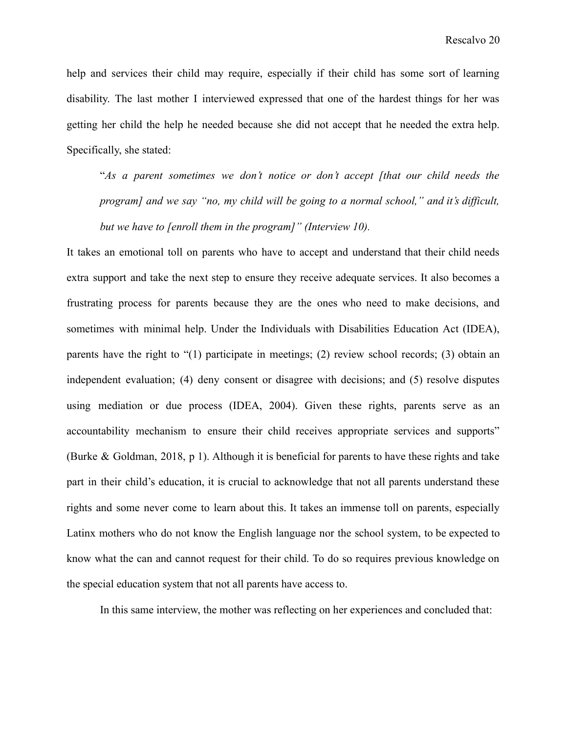help and services their child may require, especially if their child has some sort of learning disability. The last mother I interviewed expressed that one of the hardest things for her was getting her child the help he needed because she did not accept that he needed the extra help. Specifically, she stated:

"*As a parent sometimes we don't notice or don't accept [that our child needs the program] and we say "no, my child will be going to a normal school," and it's difficult, but we have to [enroll them in the program]" (Interview 10).*

It takes an emotional toll on parents who have to accept and understand that their child needs extra support and take the next step to ensure they receive adequate services. It also becomes a frustrating process for parents because they are the ones who need to make decisions, and sometimes with minimal help. Under the Individuals with Disabilities Education Act (IDEA), parents have the right to "(1) participate in meetings; (2) review school records; (3) obtain an independent evaluation; (4) deny consent or disagree with decisions; and (5) resolve disputes using mediation or due process (IDEA, 2004). Given these rights, parents serve as an accountability mechanism to ensure their child receives appropriate services and supports" (Burke & Goldman, 2018, p 1). Although it is beneficial for parents to have these rights and take part in their child's education, it is crucial to acknowledge that not all parents understand these rights and some never come to learn about this. It takes an immense toll on parents, especially Latinx mothers who do not know the English language nor the school system, to be expected to know what the can and cannot request for their child. To do so requires previous knowledge on the special education system that not all parents have access to.

In this same interview, the mother was reflecting on her experiences and concluded that: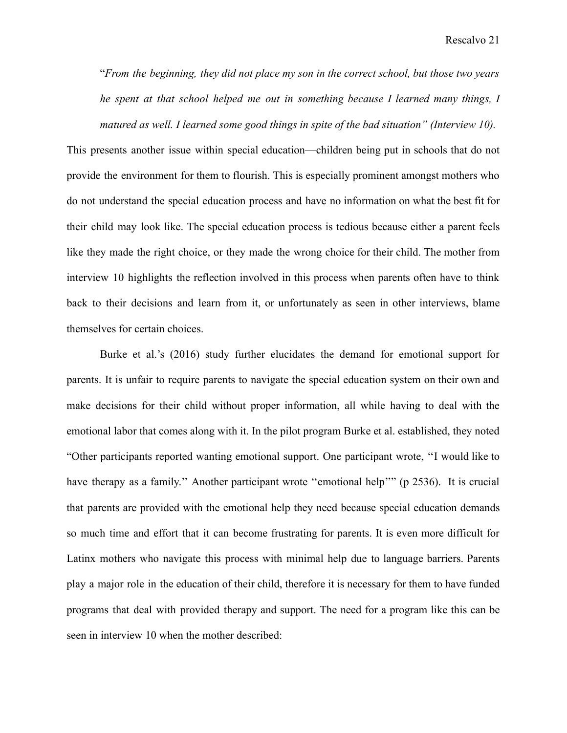"*From the beginning, they did not place my son in the correct school, but those two years he spent at that school helped me out in something because I learned many things, I matured as well. I learned some good things in spite of the bad situation" (Interview 10).*

This presents another issue within special education—children being put in schools that do not provide the environment for them to flourish. This is especially prominent amongst mothers who do not understand the special education process and have no information on what the best fit for their child may look like. The special education process is tedious because either a parent feels like they made the right choice, or they made the wrong choice for their child. The mother from interview 10 highlights the reflection involved in this process when parents often have to think back to their decisions and learn from it, or unfortunately as seen in other interviews, blame themselves for certain choices.

Burke et al.'s (2016) study further elucidates the demand for emotional support for parents. It is unfair to require parents to navigate the special education system on their own and make decisions for their child without proper information, all while having to deal with the emotional labor that comes along with it. In the pilot program Burke et al. established, they noted "Other participants reported wanting emotional support. One participant wrote, ''I would like to have therapy as a family." Another participant wrote "emotional help'" (p 2536). It is crucial that parents are provided with the emotional help they need because special education demands so much time and effort that it can become frustrating for parents. It is even more difficult for Latinx mothers who navigate this process with minimal help due to language barriers. Parents play a major role in the education of their child, therefore it is necessary for them to have funded programs that deal with provided therapy and support. The need for a program like this can be seen in interview 10 when the mother described: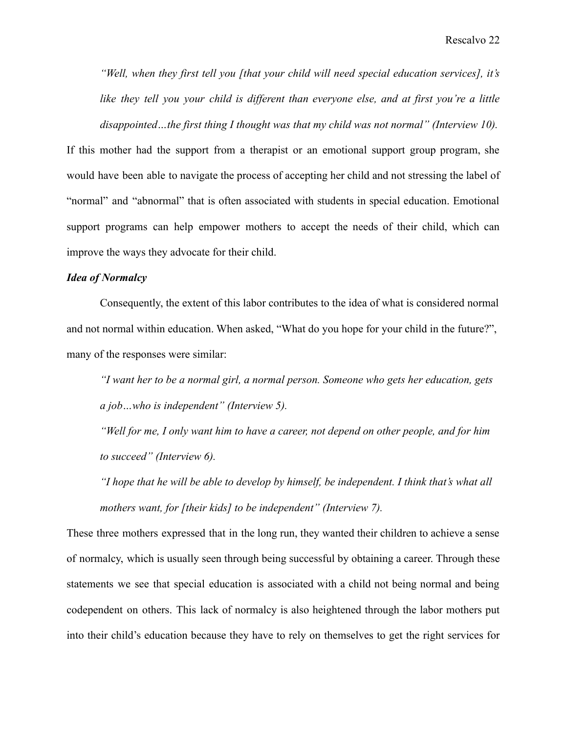*"Well, when they first tell you [that your child will need special education services], it's like they tell you your child is different than everyone else, and at first you're a little disappointed…the first thing I thought was that my child was not normal" (Interview 10).*

If this mother had the support from a therapist or an emotional support group program, she would have been able to navigate the process of accepting her child and not stressing the label of "normal" and "abnormal" that is often associated with students in special education. Emotional support programs can help empower mothers to accept the needs of their child, which can improve the ways they advocate for their child.

## *Idea of Normalcy*

Consequently, the extent of this labor contributes to the idea of what is considered normal and not normal within education. When asked, "What do you hope for your child in the future?", many of the responses were similar:

*"I want her to be a normal girl, a normal person. Someone who gets her education, gets a job…who is independent" (Interview 5).*

*"Well for me, I only want him to have a career, not depend on other people, and for him to succeed" (Interview 6).*

*"I hope that he will be able to develop by himself, be independent. I think that's what all mothers want, for [their kids] to be independent" (Interview 7).*

These three mothers expressed that in the long run, they wanted their children to achieve a sense of normalcy, which is usually seen through being successful by obtaining a career. Through these statements we see that special education is associated with a child not being normal and being codependent on others. This lack of normalcy is also heightened through the labor mothers put into their child's education because they have to rely on themselves to get the right services for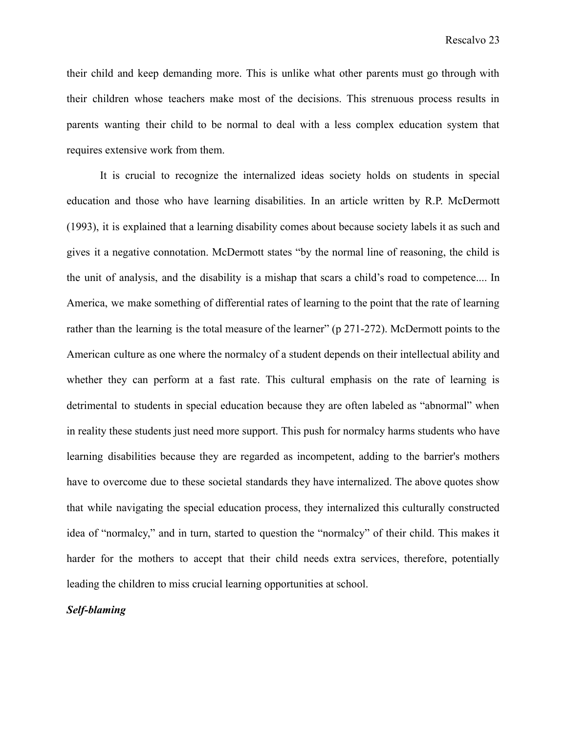their child and keep demanding more. This is unlike what other parents must go through with their children whose teachers make most of the decisions. This strenuous process results in parents wanting their child to be normal to deal with a less complex education system that requires extensive work from them.

It is crucial to recognize the internalized ideas society holds on students in special education and those who have learning disabilities. In an article written by R.P. McDermott (1993), it is explained that a learning disability comes about because society labels it as such and gives it a negative connotation. McDermott states "by the normal line of reasoning, the child is the unit of analysis, and the disability is a mishap that scars a child's road to competence.... In America, we make something of differential rates of learning to the point that the rate of learning rather than the learning is the total measure of the learner" (p 271-272). McDermott points to the American culture as one where the normalcy of a student depends on their intellectual ability and whether they can perform at a fast rate. This cultural emphasis on the rate of learning is detrimental to students in special education because they are often labeled as "abnormal" when in reality these students just need more support. This push for normalcy harms students who have learning disabilities because they are regarded as incompetent, adding to the barrier's mothers have to overcome due to these societal standards they have internalized. The above quotes show that while navigating the special education process, they internalized this culturally constructed idea of "normalcy," and in turn, started to question the "normalcy" of their child. This makes it harder for the mothers to accept that their child needs extra services, therefore, potentially leading the children to miss crucial learning opportunities at school.

#### *Self-blaming*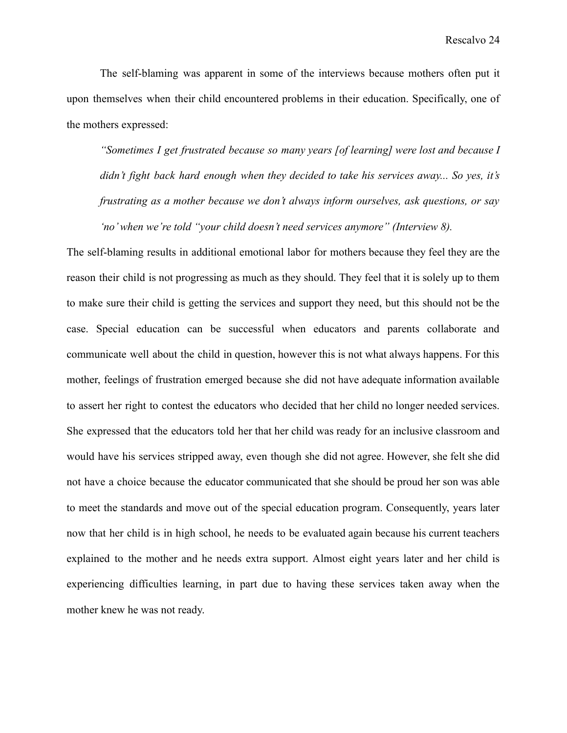The self-blaming was apparent in some of the interviews because mothers often put it upon themselves when their child encountered problems in their education. Specifically, one of the mothers expressed:

*"Sometimes I get frustrated because so many years [of learning] were lost and because I didn't fight back hard enough when they decided to take his services away... So yes, it's frustrating as a mother because we don't always inform ourselves, ask questions, or say 'no' when we're told "your child doesn't need services anymore" (Interview 8).*

The self-blaming results in additional emotional labor for mothers because they feel they are the reason their child is not progressing as much as they should. They feel that it is solely up to them to make sure their child is getting the services and support they need, but this should not be the case. Special education can be successful when educators and parents collaborate and communicate well about the child in question, however this is not what always happens. For this mother, feelings of frustration emerged because she did not have adequate information available to assert her right to contest the educators who decided that her child no longer needed services. She expressed that the educators told her that her child was ready for an inclusive classroom and would have his services stripped away, even though she did not agree. However, she felt she did not have a choice because the educator communicated that she should be proud her son was able to meet the standards and move out of the special education program. Consequently, years later now that her child is in high school, he needs to be evaluated again because his current teachers explained to the mother and he needs extra support. Almost eight years later and her child is experiencing difficulties learning, in part due to having these services taken away when the mother knew he was not ready.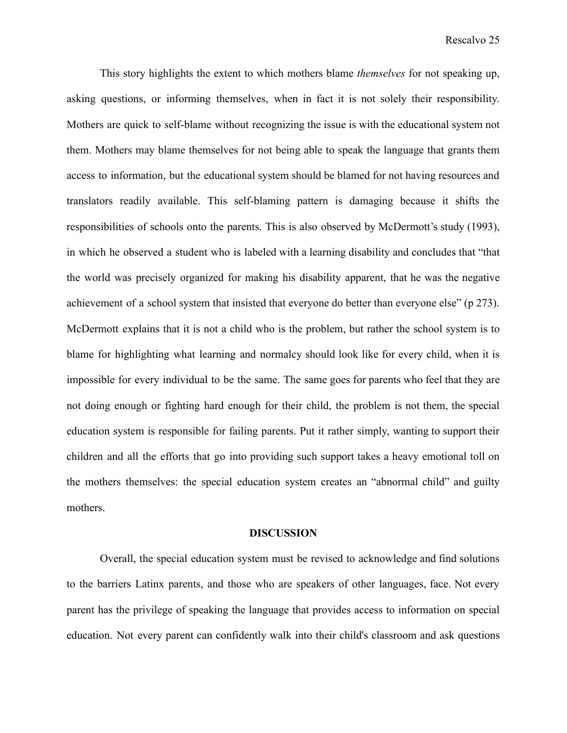This story highlights the extent to which mothers blame *themselves* for not speaking up, asking questions, or informing themselves, when in fact it is not solely their responsibility. Mothers are quick to self-blame without recognizing the issue is with the educational system not them. Mothers may blame themselves for not being able to speak the language that grants them access to information, but the educational system should be blamed for not having resources and translators readily available. This self-blaming pattern is damaging because it shifts the responsibilities of schools onto the parents. This is also observed by McDermott's study (1993), in which he observed a student who is labeled with a learning disability and concludes that "that the world was precisely organized for making his disability apparent, that he was the negative achievement of a school system that insisted that everyone do better than everyone else" (p 273). McDermott explains that it is not a child who is the problem, but rather the school system is to blame for highlighting what learning and normalcy should look like for every child, when it is impossible for every individual to be the same. The same goes for parents who feel that they are not doing enough or fighting hard enough for their child, the problem is not them, the special education system is responsible for failing parents. Put it rather simply, wanting to support their children and all the efforts that go into providing such support takes a heavy emotional toll on the mothers themselves: the special education system creates an "abnormal child" and guilty mothers.

#### **DISCUSSION**

Overall, the special education system must be revised to acknowledge and find solutions to the barriers Latinx parents, and those who are speakers of other languages, face. Not every parent has the privilege of speaking the language that provides access to information on special education. Not every parent can confidently walk into their child's classroom and ask questions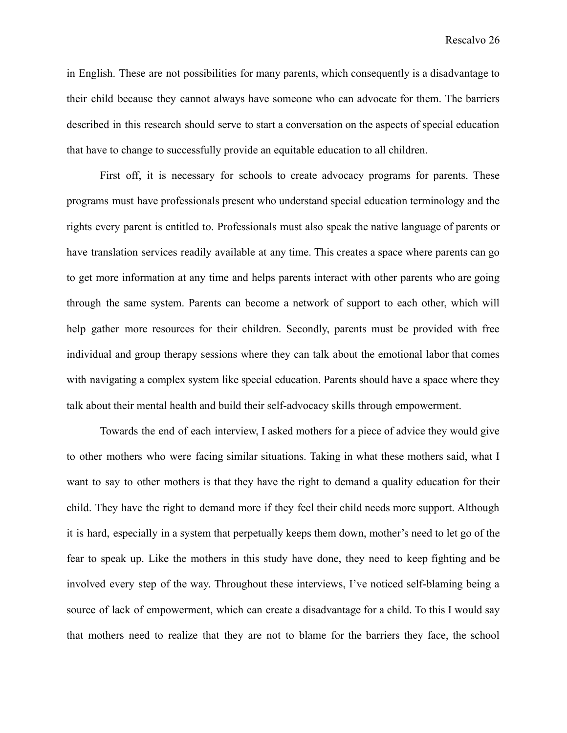Rescalvo 26

in English. These are not possibilities for many parents, which consequently is a disadvantage to their child because they cannot always have someone who can advocate for them. The barriers described in this research should serve to start a conversation on the aspects of special education that have to change to successfully provide an equitable education to all children.

First off, it is necessary for schools to create advocacy programs for parents. These programs must have professionals present who understand special education terminology and the rights every parent is entitled to. Professionals must also speak the native language of parents or have translation services readily available at any time. This creates a space where parents can go to get more information at any time and helps parents interact with other parents who are going through the same system. Parents can become a network of support to each other, which will help gather more resources for their children. Secondly, parents must be provided with free individual and group therapy sessions where they can talk about the emotional labor that comes with navigating a complex system like special education. Parents should have a space where they talk about their mental health and build their self-advocacy skills through empowerment.

Towards the end of each interview, I asked mothers for a piece of advice they would give to other mothers who were facing similar situations. Taking in what these mothers said, what I want to say to other mothers is that they have the right to demand a quality education for their child. They have the right to demand more if they feel their child needs more support. Although it is hard, especially in a system that perpetually keeps them down, mother's need to let go of the fear to speak up. Like the mothers in this study have done, they need to keep fighting and be involved every step of the way. Throughout these interviews, I've noticed self-blaming being a source of lack of empowerment, which can create a disadvantage for a child. To this I would say that mothers need to realize that they are not to blame for the barriers they face, the school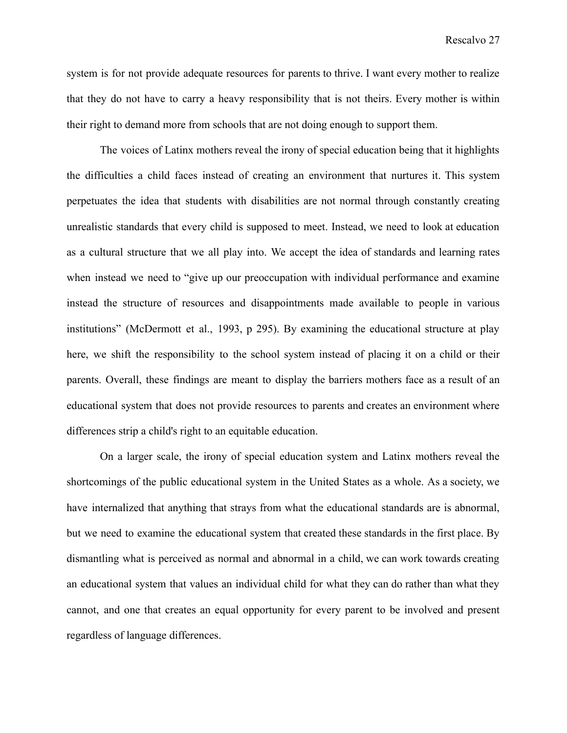Rescalvo 27

system is for not provide adequate resources for parents to thrive. I want every mother to realize that they do not have to carry a heavy responsibility that is not theirs. Every mother is within their right to demand more from schools that are not doing enough to support them.

The voices of Latinx mothers reveal the irony of special education being that it highlights the difficulties a child faces instead of creating an environment that nurtures it. This system perpetuates the idea that students with disabilities are not normal through constantly creating unrealistic standards that every child is supposed to meet. Instead, we need to look at education as a cultural structure that we all play into. We accept the idea of standards and learning rates when instead we need to "give up our preoccupation with individual performance and examine instead the structure of resources and disappointments made available to people in various institutions" (McDermott et al., 1993, p 295). By examining the educational structure at play here, we shift the responsibility to the school system instead of placing it on a child or their parents. Overall, these findings are meant to display the barriers mothers face as a result of an educational system that does not provide resources to parents and creates an environment where differences strip a child's right to an equitable education.

On a larger scale, the irony of special education system and Latinx mothers reveal the shortcomings of the public educational system in the United States as a whole. As a society, we have internalized that anything that strays from what the educational standards are is abnormal, but we need to examine the educational system that created these standards in the first place. By dismantling what is perceived as normal and abnormal in a child, we can work towards creating an educational system that values an individual child for what they can do rather than what they cannot, and one that creates an equal opportunity for every parent to be involved and present regardless of language differences.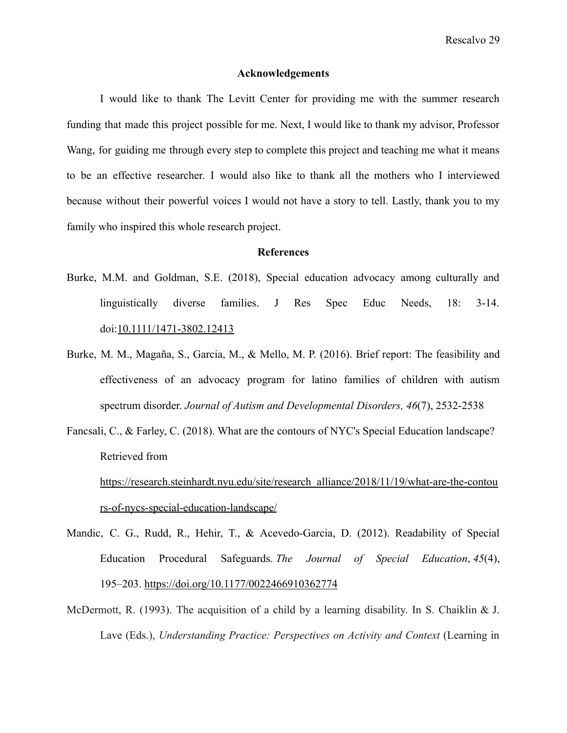#### **Acknowledgements**

I would like to thank The Levitt Center for providing me with the summer research funding that made this project possible for me. Next, I would like to thank my advisor, Professor Wang, for guiding me through every step to complete this project and teaching me what it means to be an effective researcher. I would also like to thank all the mothers who I interviewed because without their powerful voices I would not have a story to tell. Lastly, thank you to my family who inspired this whole research project.

#### **References**

- Burke, M.M. and Goldman, S.E. (2018), Special education advocacy among culturally and linguistically diverse families. J Res Spec Educ Needs, 18: 3-14. doi:10.1111/1471-3802.12413
- Burke, M. M., Magaña, S., Garcia, M., & Mello, M. P. (2016). Brief report: The feasibility and effectiveness of an advocacy program for latino families of children with autism spectrum disorder. *Journal of Autism and Developmental Disorders, 46*(7), 2532-2538
- Fancsali, C., & Farley, C. (2018). What are the contours of NYC's Special Education landscape? Retrieved from [https://research.steinhardt.nyu.edu/site/research\\_alliance/2018/11/19/what-are-the-contou](https://research.steinhardt.nyu.edu/site/research_alliance/2018/11/19/what-are-the-contours-of-nycs-special-education-landscape/) [rs-of-nycs-special-education-landscape/](https://research.steinhardt.nyu.edu/site/research_alliance/2018/11/19/what-are-the-contours-of-nycs-special-education-landscape/)
- Mandic, C. G., Rudd, R., Hehir, T., & Acevedo-Garcia, D. (2012). Readability of Special Education Procedural Safeguards. *The Journal of Special Education*, *45*(4), 195–203. https://doi.org/10.1177/0022466910362774
- McDermott, R. (1993). The acquisition of a child by a learning disability. In S. Chaiklin & J. Lave (Eds.), *Understanding Practice: Perspectives on Activity and Context* (Learning in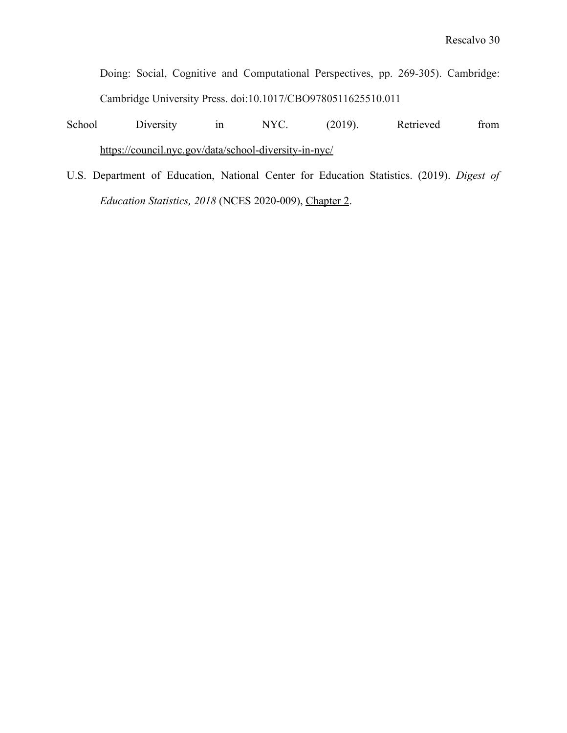Doing: Social, Cognitive and Computational Perspectives, pp. 269-305). Cambridge: Cambridge University Press. doi:10.1017/CBO9780511625510.011

School Diversity in NYC. (2019). Retrieved from <https://council.nyc.gov/data/school-diversity-in-nyc/>

U.S. Department of Education, National Center for Education Statistics. (2019). *Digest of Education Statistics, 2018* (NCES 2020-009), [Chapter](https://nces.ed.gov/programs/digest/d18/ch_2.asp) 2.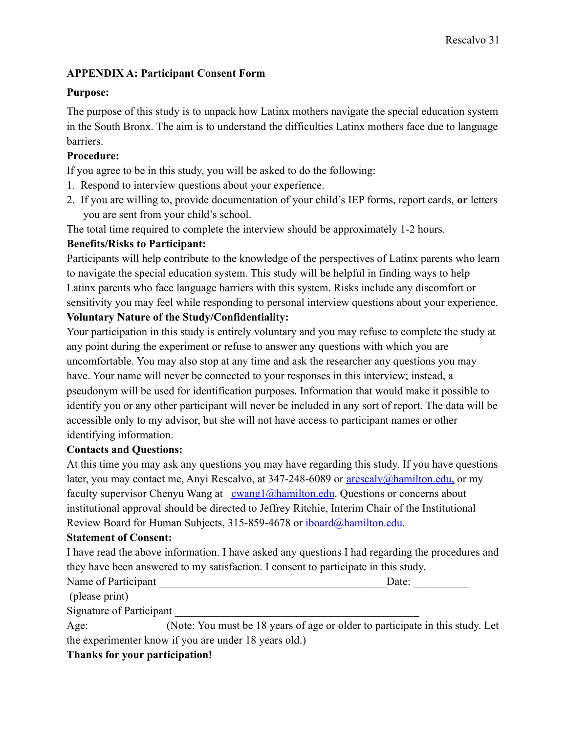# **APPENDIX A: Participant Consent Form**

## **Purpose:**

The purpose of this study is to unpack how Latinx mothers navigate the special education system in the South Bronx. The aim is to understand the difficulties Latinx mothers face due to language barriers.

## **Procedure:**

If you agree to be in this study, you will be asked to do the following:

- 1. Respond to interview questions about your experience.
- 2. If you are willing to, provide documentation of your child's IEP forms, report cards, **or** letters you are sent from your child's school.

The total time required to complete the interview should be approximately 1-2 hours.

## **Benefits/Risks to Participant:**

Participants will help contribute to the knowledge of the perspectives of Latinx parents who learn to navigate the special education system. This study will be helpful in finding ways to help Latinx parents who face language barriers with this system. Risks include any discomfort or sensitivity you may feel while responding to personal interview questions about your experience.

# **Voluntary Nature of the Study/Confidentiality:**

Your participation in this study is entirely voluntary and you may refuse to complete the study at any point during the experiment or refuse to answer any questions with which you are uncomfortable. You may also stop at any time and ask the researcher any questions you may have. Your name will never be connected to your responses in this interview; instead, a pseudonym will be used for identification purposes. Information that would make it possible to identify you or any other participant will never be included in any sort of report. The data will be accessible only to my advisor, but she will not have access to participant names or other identifying information.

## **Contacts and Questions:**

At this time you may ask any questions you may have regarding this study. If you have questions later, you may contact me, Anyi Rescalvo, at 347-248-6089 or [arescalv@hamilton.edu,](mailto:arescalv@hamilton.edu) or my faculty supervisor Chenyu Wang at  $\frac{\text{cwang1@hamilton.edu}}{\text{cwang1@hamilton.edu}}$  $\frac{\text{cwang1@hamilton.edu}}{\text{cwang1@hamilton.edu}}$  $\frac{\text{cwang1@hamilton.edu}}{\text{cwang1@hamilton.edu}}$ . Questions or concerns about institutional approval should be directed to Jeffrey Ritchie, Interim Chair of the Institutional Review Board for Human Subjects, 315-859-4678 or [iboard@hamilton.edu.](mailto:iboard@hamilton.edu)

## **Statement of Consent:**

|                                                                                     | I have read the above information. I have asked any questions I had regarding the procedures and |
|-------------------------------------------------------------------------------------|--------------------------------------------------------------------------------------------------|
| they have been answered to my satisfaction. I consent to participate in this study. |                                                                                                  |
| Name of Participant                                                                 | Date:                                                                                            |
| (please print)                                                                      |                                                                                                  |
| Signature of Participant                                                            |                                                                                                  |

Age: (Note: You must be 18 years of age or older to participate in this study. Let the experimenter know if you are under 18 years old.)

## **Thanks for your participation!**